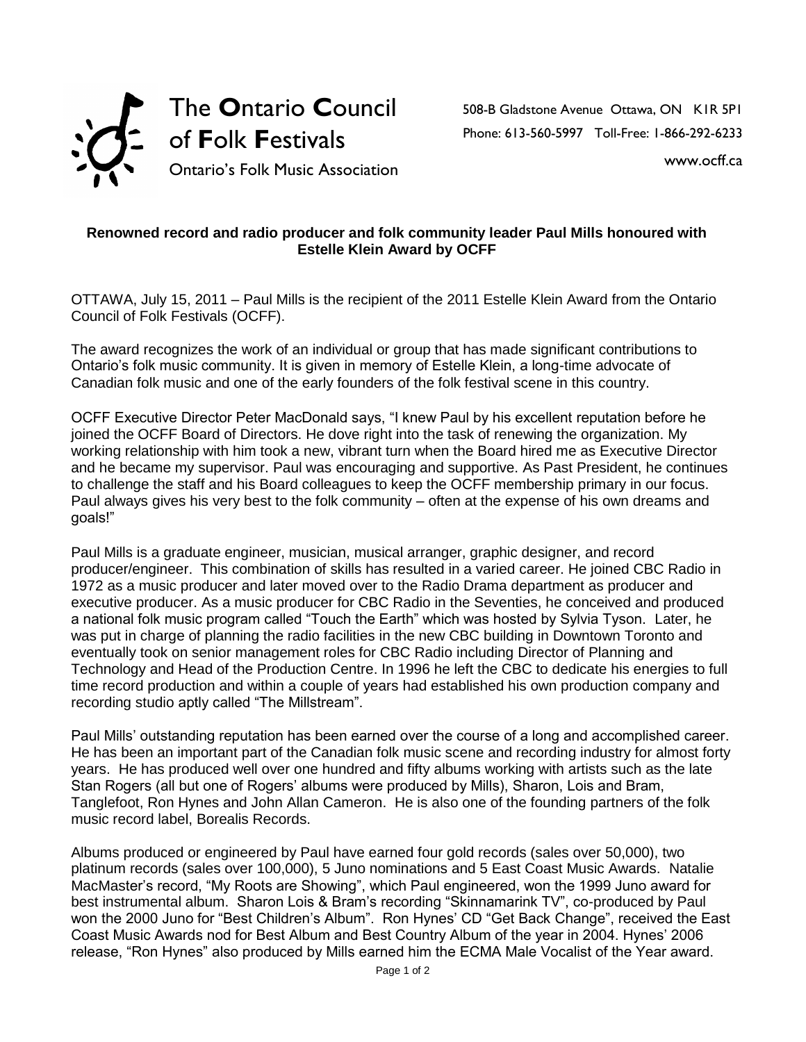

508-B Gladstone Avenue Ottawa, ON K1R 5P1 Phone: 613-560-5997 Toll-Free: 1-866-292-6233

www.ocff.ca

## **Renowned record and radio producer and folk community leader Paul Mills honoured with Estelle Klein Award by OCFF**

OTTAWA, July 15, 2011 – Paul Mills is the recipient of the 2011 Estelle Klein Award from the Ontario Council of Folk Festivals (OCFF).

The award recognizes the work of an individual or group that has made significant contributions to Ontario's folk music community. It is given in memory of Estelle Klein, a long-time advocate of Canadian folk music and one of the early founders of the folk festival scene in this country.

OCFF Executive Director Peter MacDonald says, "I knew Paul by his excellent reputation before he joined the OCFF Board of Directors. He dove right into the task of renewing the organization. My working relationship with him took a new, vibrant turn when the Board hired me as Executive Director and he became my supervisor. Paul was encouraging and supportive. As Past President, he continues to challenge the staff and his Board colleagues to keep the OCFF membership primary in our focus. Paul always gives his very best to the folk community – often at the expense of his own dreams and goals!"

Paul Mills is a graduate engineer, musician, musical arranger, graphic designer, and record producer/engineer. This combination of skills has resulted in a varied career. He joined CBC Radio in 1972 as a music producer and later moved over to the Radio Drama department as producer and executive producer. As a music producer for CBC Radio in the Seventies, he conceived and produced a national folk music program called "Touch the Earth" which was hosted by Sylvia Tyson. Later, he was put in charge of planning the radio facilities in the new CBC building in Downtown Toronto and eventually took on senior management roles for CBC Radio including Director of Planning and Technology and Head of the Production Centre. In 1996 he left the CBC to dedicate his energies to full time record production and within a couple of years had established his own production company and recording studio aptly called "The Millstream".

Paul Mills' outstanding reputation has been earned over the course of a long and accomplished career. He has been an important part of the Canadian folk music scene and recording industry for almost forty years. He has produced well over one hundred and fifty albums working with artists such as the late Stan Rogers (all but one of Rogers' albums were produced by Mills), Sharon, Lois and Bram, Tanglefoot, Ron Hynes and John Allan Cameron. He is also one of the founding partners of the folk music record label, Borealis Records.

Albums produced or engineered by Paul have earned four gold records (sales over 50,000), two platinum records (sales over 100,000), 5 Juno nominations and 5 East Coast Music Awards. Natalie MacMaster's record, "My Roots are Showing", which Paul engineered, won the 1999 Juno award for best instrumental album. Sharon Lois & Bram's recording "Skinnamarink TV", co-produced by Paul won the 2000 Juno for "Best Children's Album". Ron Hynes' CD "Get Back Change", received the East Coast Music Awards nod for Best Album and Best Country Album of the year in 2004. Hynes' 2006 release, "Ron Hynes" also produced by Mills earned him the ECMA Male Vocalist of the Year award.